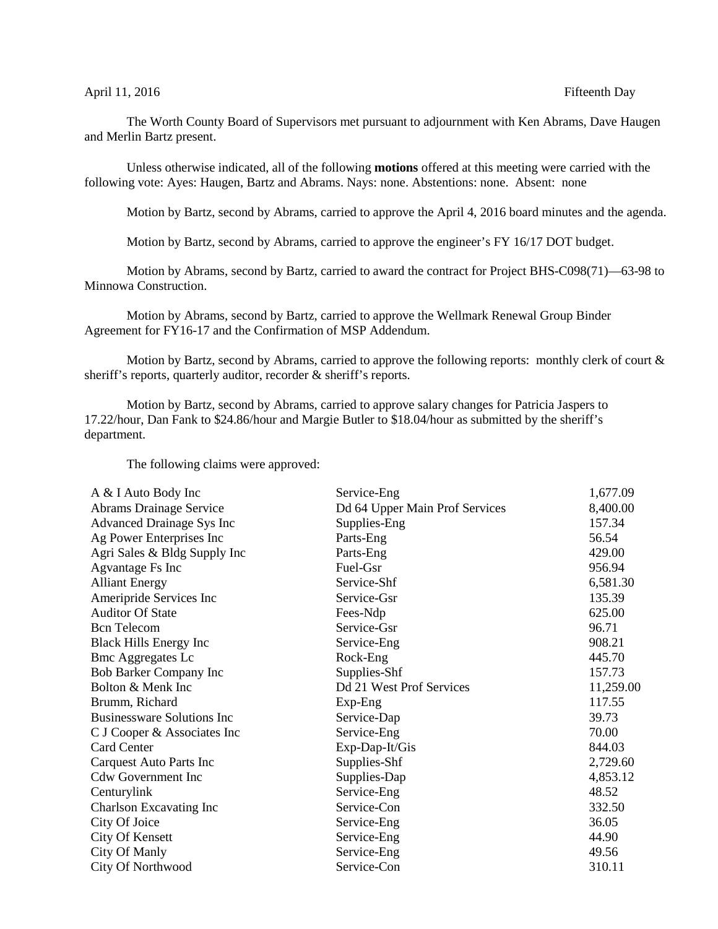## April 11, 2016 **Fifteenth** Day

The Worth County Board of Supervisors met pursuant to adjournment with Ken Abrams, Dave Haugen and Merlin Bartz present.

Unless otherwise indicated, all of the following **motions** offered at this meeting were carried with the following vote: Ayes: Haugen, Bartz and Abrams. Nays: none. Abstentions: none. Absent: none

Motion by Bartz, second by Abrams, carried to approve the April 4, 2016 board minutes and the agenda.

Motion by Bartz, second by Abrams, carried to approve the engineer's FY 16/17 DOT budget.

Motion by Abrams, second by Bartz, carried to award the contract for Project BHS-C098(71)—63-98 to Minnowa Construction.

Motion by Abrams, second by Bartz, carried to approve the Wellmark Renewal Group Binder Agreement for FY16-17 and the Confirmation of MSP Addendum.

Motion by Bartz, second by Abrams, carried to approve the following reports: monthly clerk of court & sheriff's reports, quarterly auditor, recorder & sheriff's reports.

Motion by Bartz, second by Abrams, carried to approve salary changes for Patricia Jaspers to 17.22/hour, Dan Fank to \$24.86/hour and Margie Butler to \$18.04/hour as submitted by the sheriff's department.

The following claims were approved:

| Service-Eng                    | 1,677.09  |
|--------------------------------|-----------|
| Dd 64 Upper Main Prof Services | 8,400.00  |
| Supplies-Eng                   | 157.34    |
| Parts-Eng                      | 56.54     |
| Parts-Eng                      | 429.00    |
| Fuel-Gsr                       | 956.94    |
| Service-Shf                    | 6,581.30  |
| Service-Gsr                    | 135.39    |
| Fees-Ndp                       | 625.00    |
| Service-Gsr                    | 96.71     |
| Service-Eng                    | 908.21    |
| Rock-Eng                       | 445.70    |
| Supplies-Shf                   | 157.73    |
| Dd 21 West Prof Services       | 11,259.00 |
| $Exp-Eng$                      | 117.55    |
| Service-Dap                    | 39.73     |
| Service-Eng                    | 70.00     |
| Exp-Dap-It/Gis                 | 844.03    |
| Supplies-Shf                   | 2,729.60  |
| Supplies-Dap                   | 4,853.12  |
| Service-Eng                    | 48.52     |
| Service-Con                    | 332.50    |
| Service-Eng                    | 36.05     |
| Service-Eng                    | 44.90     |
| Service-Eng                    | 49.56     |
| Service-Con                    | 310.11    |
|                                |           |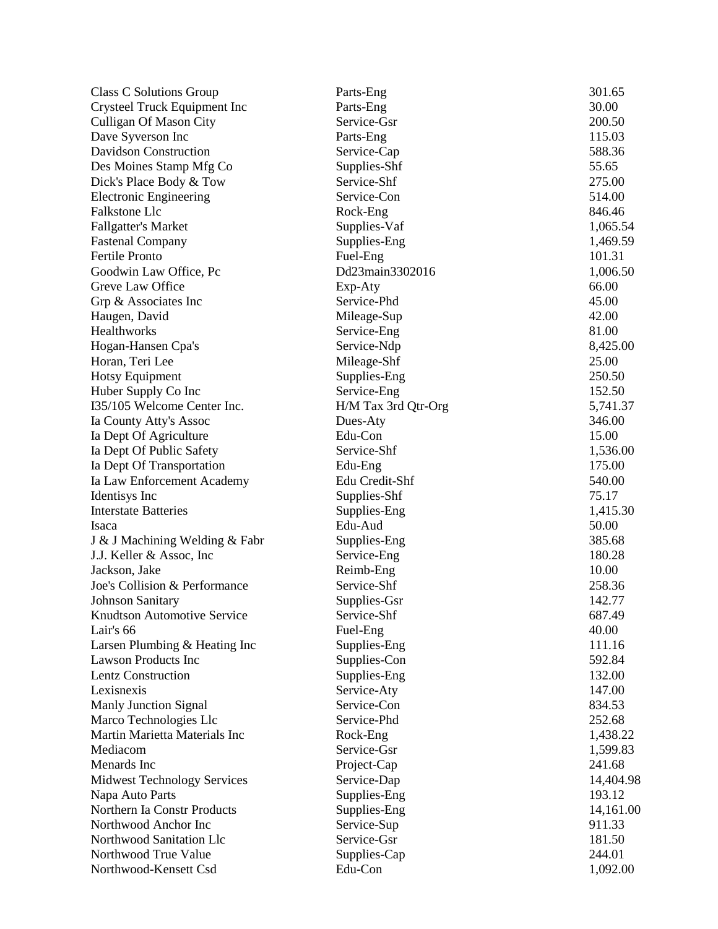| Class C Solutions Group            | Parts-Eng           | 301.65    |
|------------------------------------|---------------------|-----------|
| Crysteel Truck Equipment Inc       | Parts-Eng           | 30.00     |
| <b>Culligan Of Mason City</b>      | Service-Gsr         | 200.50    |
| Dave Syverson Inc                  | Parts-Eng           | 115.03    |
| <b>Davidson Construction</b>       | Service-Cap         | 588.36    |
| Des Moines Stamp Mfg Co            | Supplies-Shf        | 55.65     |
| Dick's Place Body & Tow            | Service-Shf         | 275.00    |
| <b>Electronic Engineering</b>      | Service-Con         | 514.00    |
| Falkstone Llc                      | Rock-Eng            | 846.46    |
| <b>Fallgatter's Market</b>         | Supplies-Vaf        | 1,065.54  |
| <b>Fastenal Company</b>            | Supplies-Eng        | 1,469.59  |
| <b>Fertile Pronto</b>              | Fuel-Eng            | 101.31    |
| Goodwin Law Office, Pc             | Dd23main3302016     | 1,006.50  |
| Greve Law Office                   | Exp-Aty             | 66.00     |
| Grp & Associates Inc               | Service-Phd         | 45.00     |
| Haugen, David                      | Mileage-Sup         | 42.00     |
| Healthworks                        | Service-Eng         | 81.00     |
| Hogan-Hansen Cpa's                 | Service-Ndp         | 8,425.00  |
| Horan, Teri Lee                    | Mileage-Shf         | 25.00     |
| <b>Hotsy Equipment</b>             | Supplies-Eng        | 250.50    |
| Huber Supply Co Inc                | Service-Eng         | 152.50    |
| I35/105 Welcome Center Inc.        | H/M Tax 3rd Qtr-Org | 5,741.37  |
| Ia County Atty's Assoc             | Dues-Aty            | 346.00    |
| Ia Dept Of Agriculture             | Edu-Con             | 15.00     |
| Ia Dept Of Public Safety           | Service-Shf         | 1,536.00  |
| Ia Dept Of Transportation          | Edu-Eng             | 175.00    |
| Ia Law Enforcement Academy         | Edu Credit-Shf      | 540.00    |
| Identisys Inc                      | Supplies-Shf        | 75.17     |
| <b>Interstate Batteries</b>        | Supplies-Eng        | 1,415.30  |
| Isaca                              | Edu-Aud             | 50.00     |
|                                    |                     | 385.68    |
| J & J Machining Welding & Fabr     | Supplies-Eng        |           |
| J.J. Keller & Assoc, Inc.          | Service-Eng         | 180.28    |
| Jackson, Jake                      | Reimb-Eng           | 10.00     |
| Joe's Collision & Performance      | Service-Shf         | 258.36    |
| <b>Johnson Sanitary</b>            | Supplies-Gsr        | 142.77    |
| <b>Knudtson Automotive Service</b> | Service-Shf         | 687.49    |
| Lair's 66                          | Fuel-Eng            | 40.00     |
| Larsen Plumbing & Heating Inc      | Supplies-Eng        | 111.16    |
| <b>Lawson Products Inc</b>         | Supplies-Con        | 592.84    |
| <b>Lentz Construction</b>          | Supplies-Eng        | 132.00    |
| Lexisnexis                         | Service-Aty         | 147.00    |
| <b>Manly Junction Signal</b>       | Service-Con         | 834.53    |
| Marco Technologies Llc             | Service-Phd         | 252.68    |
| Martin Marietta Materials Inc      | Rock-Eng            | 1,438.22  |
| Mediacom                           | Service-Gsr         | 1,599.83  |
| Menards Inc                        | Project-Cap         | 241.68    |
| <b>Midwest Technology Services</b> | Service-Dap         | 14,404.98 |
| Napa Auto Parts                    | Supplies-Eng        | 193.12    |
| Northern Ia Constr Products        | Supplies-Eng        | 14,161.00 |
| Northwood Anchor Inc               | Service-Sup         | 911.33    |
| Northwood Sanitation Llc           | Service-Gsr         | 181.50    |
| Northwood True Value               | Supplies-Cap        | 244.01    |
| Northwood-Kensett Csd              | Edu-Con             | 1,092.00  |